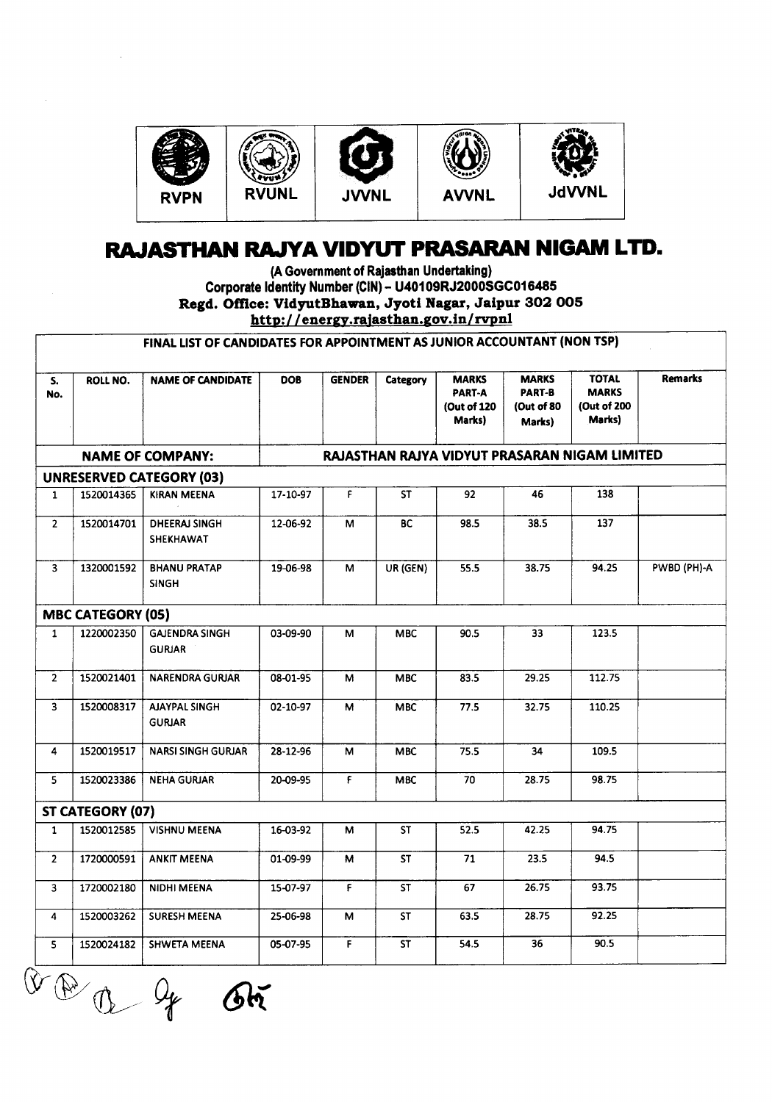

## **RAJASTHAN RAJYA VIDYUT PRASARAN NIGAM LTD.**

ce: viayutbhawan, Jyoti Nagar, Jaipt<br>http://energy.rajasthan.gov.in/rvpnl (A Government of Rajasthan Undertaking) Corporate Identity Number (CIN)- U40109RJ2000SGC016485 Regd. Office: VidyutBhawan, Jyoti Nagar, Jaipur 302 005

|                |                          | FINAL LIST OF CANDIDATES FOR APPOINTMENT AS JUNIOR ACCOUNTANT (NON TSP) |            |               |                          |                                                 |                                                       |                                                       |                |
|----------------|--------------------------|-------------------------------------------------------------------------|------------|---------------|--------------------------|-------------------------------------------------|-------------------------------------------------------|-------------------------------------------------------|----------------|
| S.<br>No.      | <b>ROLL NO.</b>          | <b>NAME OF CANDIDATE</b>                                                | <b>DOB</b> | <b>GENDER</b> | Category                 | <b>MARKS</b><br>PART-A<br>(Out of 120<br>Marks) | <b>MARKS</b><br><b>PART-B</b><br>(Out of 80<br>Marks) | <b>TOTAL</b><br><b>MARKS</b><br>(Out of 200<br>Marks) | <b>Remarks</b> |
|                |                          | <b>NAME OF COMPANY:</b>                                                 |            |               |                          |                                                 |                                                       | RAJASTHAN RAJYA VIDYUT PRASARAN NIGAM LIMITED         |                |
|                |                          | <b>UNRESERVED CATEGORY (03)</b>                                         |            |               |                          |                                                 |                                                       |                                                       |                |
| $\mathbf{1}$   | 1520014365               | <b>KIRAN MEENA</b>                                                      | 17-10-97   | F.            | <b>ST</b>                | 92                                              | 46                                                    | 138                                                   |                |
| $\overline{2}$ | 1520014701               | <b>DHEERAJ SINGH</b><br>SHEKHAWAT                                       | 12-06-92   | М             | BC.                      | 98.5                                            | 38.5                                                  | 137                                                   |                |
| 3              | 1320001592               | <b>BHANU PRATAP</b><br><b>SINGH</b>                                     | 19-06-98   | M             | UR (GEN)                 | 55.5                                            | 38.75                                                 | 94.25                                                 | PWBD (PH)-A    |
|                | <b>MBC CATEGORY (05)</b> |                                                                         |            |               |                          |                                                 |                                                       |                                                       |                |
| $\mathbf{1}$   | 1220002350               | <b>GAJENDRA SINGH</b><br><b>GURJAR</b>                                  | 03-09-90   | м             | <b>MBC</b>               | 90.5                                            | 33                                                    | 123.5                                                 |                |
| 2 <sup>1</sup> | 1520021401               | <b>NARENDRA GURJAR</b>                                                  | 08-01-95   | M             | <b>MBC</b>               | 83.5                                            | 29.25                                                 | 112.75                                                |                |
| 3              | 1520008317               | <b>AJAYPAL SINGH</b><br><b>GURJAR</b>                                   | 02-10-97   | м             | <b>MBC</b>               | 77.5                                            | 32.75                                                 | 110.25                                                |                |
| 4              | 1520019517               | <b>NARSI SINGH GURJAR</b>                                               | 28-12-96   | M             | <b>MBC</b>               | 75.5                                            | 34                                                    | 109.5                                                 |                |
| 5.             | 1520023386               | <b>NEHA GURJAR</b>                                                      | 20-09-95   | F             | <b>MBC</b>               | 70                                              | 28.75                                                 | 98.75                                                 |                |
|                | ST CATEGORY (07)         |                                                                         |            |               |                          |                                                 |                                                       |                                                       |                |
| $\mathbf{1}$   | 1520012585               | <b>VISHNU MEENA</b>                                                     | 16-03-92   | м             | <b>ST</b>                | 52.5                                            | 42.25                                                 | 94.75                                                 |                |
| $\overline{2}$ | 1720000591               | <b>ANKIT MEENA</b>                                                      | 01-09-99   | м             | ST                       | 71                                              | 23.5                                                  | 94.5                                                  |                |
| 3              | 1720002180               | NIDHI MEENA                                                             | 15-07-97   | F             | $\overline{\mathsf{ST}}$ | 67                                              | 26.75                                                 | 93.75                                                 |                |
| 4              | 1520003262               | <b>SURESH MEENA</b>                                                     | 25-06-98   | М             | <b>ST</b>                | 63.5                                            | 28.75                                                 | 92.25                                                 |                |
| 5              | 1520024182               | <b>SHWETA MEENA</b>                                                     | 05-07-95   | F.            | <b>ST</b>                | 54.5                                            | 36                                                    | 90.5                                                  |                |

 $Q \rightarrow Q$ 

 $\bar{z}$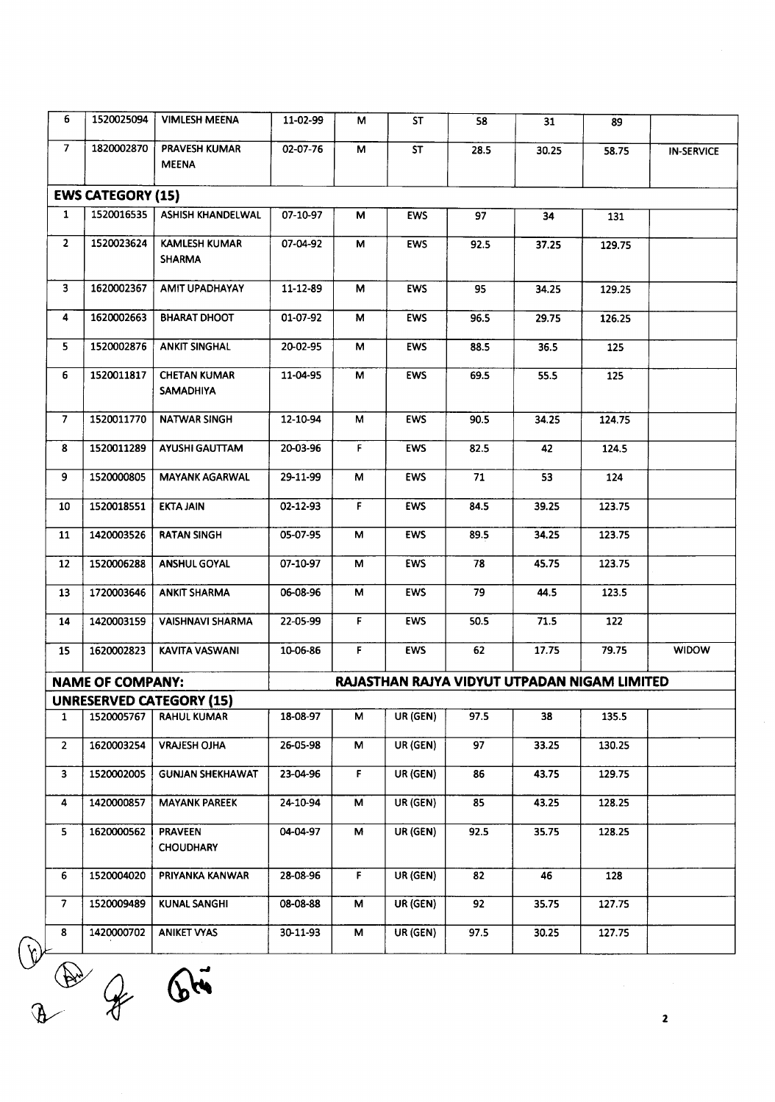| 6              | 1520025094               | <b>VIMLESH MEENA</b>                    | 11-02-99 | м            | <b>ST</b>  | 58   | 31    | 89                                           |                   |
|----------------|--------------------------|-----------------------------------------|----------|--------------|------------|------|-------|----------------------------------------------|-------------------|
| $\overline{7}$ | 1820002870               | PRAVESH KUMAR<br><b>MEENA</b>           | 02-07-76 | м            | ST         | 28.5 | 30.25 | 58.75                                        | <b>IN-SERVICE</b> |
|                | <b>EWS CATEGORY (15)</b> |                                         |          |              |            |      |       |                                              |                   |
| $\mathbf{1}$   | 1520016535               | ASHISH KHANDELWAL                       | 07-10-97 | М            | <b>EWS</b> | 97   | 34    | 131                                          |                   |
| $\overline{2}$ | 1520023624               | <b>KAMLESH KUMAR</b><br><b>SHARMA</b>   | 07-04-92 | M            | EWS        | 92.5 | 37.25 | 129.75                                       |                   |
| 3              | 1620002367               | AMIT UPADHAYAY                          | 11-12-89 | M            | <b>EWS</b> | 95   | 34.25 | 129.25                                       |                   |
| 4              | 1620002663               | <b>BHARAT DHOOT</b>                     | 01-07-92 | М            | <b>EWS</b> | 96.5 | 29.75 | 126.25                                       |                   |
| 5              | 1520002876               | <b>ANKIT SINGHAL</b>                    | 20-02-95 | М            | EWS        | 88.5 | 36.5  | 125                                          |                   |
| 6              | 1520011817               | <b>CHETAN KUMAR</b><br><b>SAMADHIYA</b> | 11-04-95 | М            | <b>EWS</b> | 69.5 | 55.5  | 125                                          |                   |
| $\overline{7}$ | 1520011770               | <b>NATWAR SINGH</b>                     | 12-10-94 | M            | <b>EWS</b> | 90.5 | 34.25 | 124.75                                       |                   |
| 8              | 1520011289               | AYUSHI GAUTTAM                          | 20-03-96 | F.           | <b>EWS</b> | 82.5 | 42    | 124.5                                        |                   |
| 9              | 1520000805               | <b>MAYANK AGARWAL</b>                   | 29-11-99 | М            | <b>EWS</b> | 71   | 53    | 124                                          |                   |
| 10             | 1520018551               | <b>EKTA JAIN</b>                        | 02-12-93 | F.           | <b>EWS</b> | 84.5 | 39.25 | 123.75                                       |                   |
| 11             | 1420003526               | <b>RATAN SINGH</b>                      | 05-07-95 | м            | <b>EWS</b> | 89.5 | 34.25 | 123.75                                       |                   |
| 12             | 1520006288               | <b>ANSHUL GOYAL</b>                     | 07-10-97 | М            | <b>EWS</b> | 78   | 45.75 | 123.75                                       |                   |
| 13             | 1720003646               | <b>ANKIT SHARMA</b>                     | 06-08-96 | М            | <b>EWS</b> | 79   | 44.5  | 123.5                                        |                   |
| 14             | 1420003159               | <b>VAISHNAVI SHARMA</b>                 | 22-05-99 | F.           | <b>EWS</b> | 50.5 | 71.5  | 122                                          |                   |
| 15             | 1620002823               | KAVITA VASWANI                          | 10-06-86 | F.           | <b>EWS</b> | 62   | 17.75 | 79.75                                        | <b>WIDOW</b>      |
|                | <b>NAME OF COMPANY:</b>  |                                         |          |              |            |      |       | RAJASTHAN RAJYA VIDYUT UTPADAN NIGAM LIMITED |                   |
|                |                          | <b>UNRESERVED CATEGORY (15)</b>         |          |              |            |      |       |                                              |                   |
| 1              | 1520005767               | <b>RAHUL KUMAR</b>                      | 18-08-97 | м            | UR (GEN)   | 97.5 | 38    | 135.5                                        |                   |
| $\mathbf{2}$   | 1620003254               | <b>VRAJESH OJHA</b>                     | 26-05-98 | M            | UR (GEN)   | 97   | 33.25 | 130.25                                       |                   |
| 3              | 1520002005               | <b>GUNJAN SHEKHAWAT</b>                 | 23-04-96 | F.           | UR (GEN)   | 86   | 43.75 | 129.75                                       |                   |
| 4              | 1420000857               | <b>MAYANK PAREEK</b>                    | 24-10-94 | М            | UR (GEN)   | 85   | 43.25 | 128.25                                       |                   |
| 5              | 1620000562               | <b>PRAVEEN</b><br><b>CHOUDHARY</b>      | 04-04-97 | М            | UR (GEN)   | 92.5 | 35.75 | 128.25                                       |                   |
|                | 1520004020               | PRIYANKA KANWAR                         | 28-08-96 | $\mathbf{F}$ | UR (GEN)   | 82   | 46    | 128                                          |                   |
| 6              |                          |                                         |          |              | UR (GEN)   | 92   | 35.75 | 127.75                                       |                   |
| 7.             | 1520009489               | <b>KUNAL SANGHI</b>                     | 08-08-88 | M            |            |      |       |                                              |                   |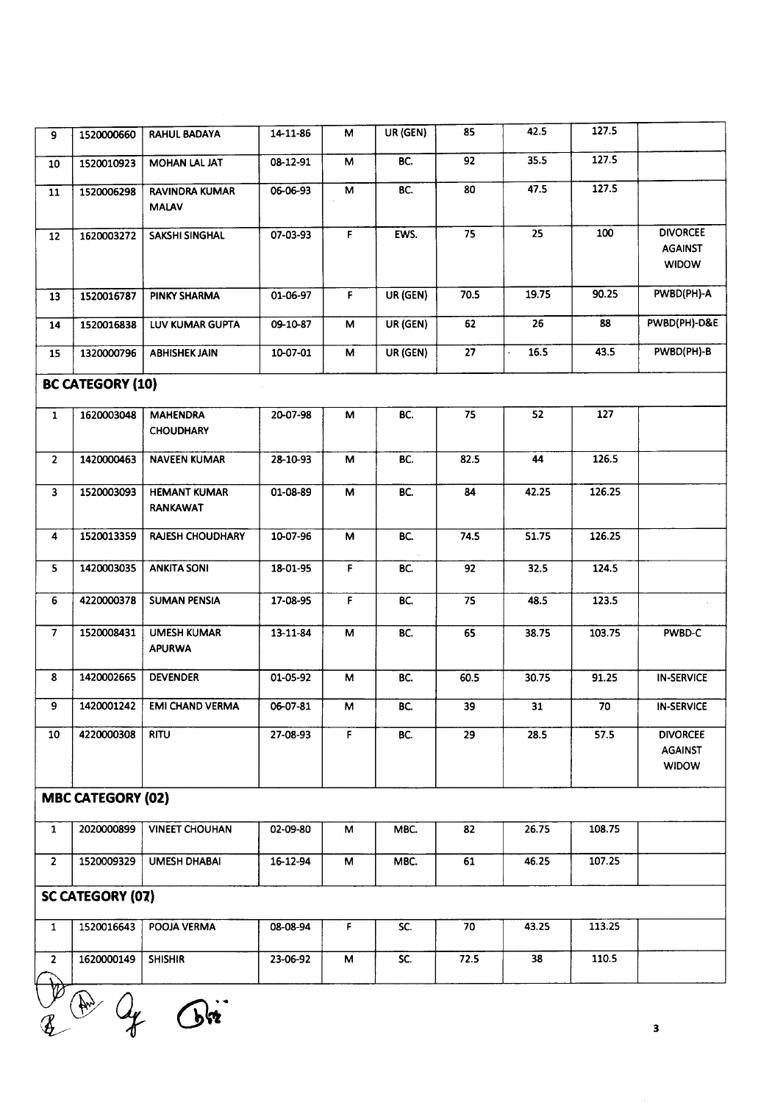| 9              | 1520000660               | RAHUL BADAYA                          | 14-11-86 | M            | UR (GEN) | 85   | 42.5  | 127.5  |                                                   |
|----------------|--------------------------|---------------------------------------|----------|--------------|----------|------|-------|--------|---------------------------------------------------|
| 10             | 1520010923               | MOHAN LAL JAT                         | 08-12-91 | м            | BC.      | 92   | 35.5  | 127.5  |                                                   |
| 11             | 1520006298               | <b>RAVINDRA KUMAR</b><br><b>MALAV</b> | 06-06-93 | м            | BC.      | 80   | 47.5  | 127.5  |                                                   |
| 12             | 1620003272               | <b>SAKSHI SINGHAL</b>                 | 07-03-93 | F            | EWS.     | 75   | 25    | 100    | <b>DIVORCEE</b><br><b>AGAINST</b><br><b>WIDOW</b> |
| 13             | 1520016787               | PINKY SHARMA                          | 01-06-97 | $\mathsf F$  | UR (GEN) | 70.5 | 19.75 | 90.25  | PWBD(PH)-A                                        |
| 14             | 1520016838               | LUV KUMAR GUPTA                       | 09-10-87 | М            | UR (GEN) | 62   | 26    | 88     | PWBD(PH)-D&E                                      |
| 15             | 1320000796               | <b>ABHISHEK JAIN</b>                  | 10-07-01 | М            | UR (GEN) | 27   | 16.5  | 43.5   | PWBD(PH)-B                                        |
|                | <b>BC CATEGORY (10)</b>  |                                       |          |              |          |      |       |        |                                                   |
| $\mathbf{1}$   | 1620003048               | <b>MAHENDRA</b><br><b>CHOUDHARY</b>   | 20-07-98 | м            | BC.      | 75   | 52    | 127    |                                                   |
| $\overline{2}$ | 1420000463               | <b>NAVEEN KUMAR</b>                   | 28-10-93 | M            | BC.      | 82.5 | 44    | 126.5  |                                                   |
| $\mathbf{3}$   | 1520003093               | <b>HEMANT KUMAR</b><br>RANKAWAT       | 01-08-89 | M            | BC.      | 84   | 42.25 | 126.25 |                                                   |
| 4              | 1520013359               | <b>RAJESH CHOUDHARY</b>               | 10-07-96 | M            | BC.      | 74.5 | 51.75 | 126.25 |                                                   |
| 5              | 1420003035               | <b>ANKITA SONI</b>                    | 18-01-95 | F            | BC.      | 92   | 32.5  | 124.5  |                                                   |
| 6              | 4220000378               | <b>SUMAN PENSIA</b>                   | 17-08-95 | $\mathbf{F}$ | BC.      | 75   | 48.5  | 123.5  |                                                   |
| $\overline{7}$ | 1520008431               | <b>UMESH KUMAR</b><br><b>APURWA</b>   | 13-11-84 | M            | BC.      | 65   | 38.75 | 103.75 | PWBD-C                                            |
| 8              | 1420002665               | <b>DEVENDER</b>                       | 01-05-92 | M            | BC.      | 60.5 | 30.75 | 91.25  | <b>IN-SERVICE</b>                                 |
| 9              | 1420001242               | <b>EMI CHAND VERMA</b>                | 06-07-81 | M            | BC.      | 39   | 31    | 70     | <b>IN-SERVICE</b>                                 |
| 10             | 4220000308               | <b>RITU</b>                           | 27-08-93 | F            | BC.      | 29   | 28.5  | 57.5   | <b>DIVORCEE</b><br>AGAINST<br><b>WIDOW</b>        |
|                | <b>MBC CATEGORY (02)</b> |                                       |          |              |          |      |       |        |                                                   |
| $\mathbf{1}$   | 2020000899               | <b>VINEET CHOUHAN</b>                 | 02-09-80 | M            | MBC.     | 82   | 26.75 | 108.75 |                                                   |
| $\overline{2}$ | 1520009329               | <b>UMESH DHABAI</b>                   | 16-12-94 | M            | MBC.     | 61   | 46.25 | 107.25 |                                                   |
|                | <b>SC CATEGORY (07)</b>  |                                       |          |              |          |      |       |        |                                                   |
| $\mathbf{1}$   | 1520016643               | POOJA VERMA                           | 08-08-94 | F.           | SC.      | 70   | 43.25 | 113.25 |                                                   |
| $\overline{2}$ | 1620000149               | <b>SHISHIR</b>                        | 23-06-92 | M            | SC.      | 72.5 | 38    | 110.5  |                                                   |
|                |                          |                                       |          |              |          |      |       |        |                                                   |

 $V^p$  .  $\bigcap_{\alpha\in\mathbb{Z}}$  .

3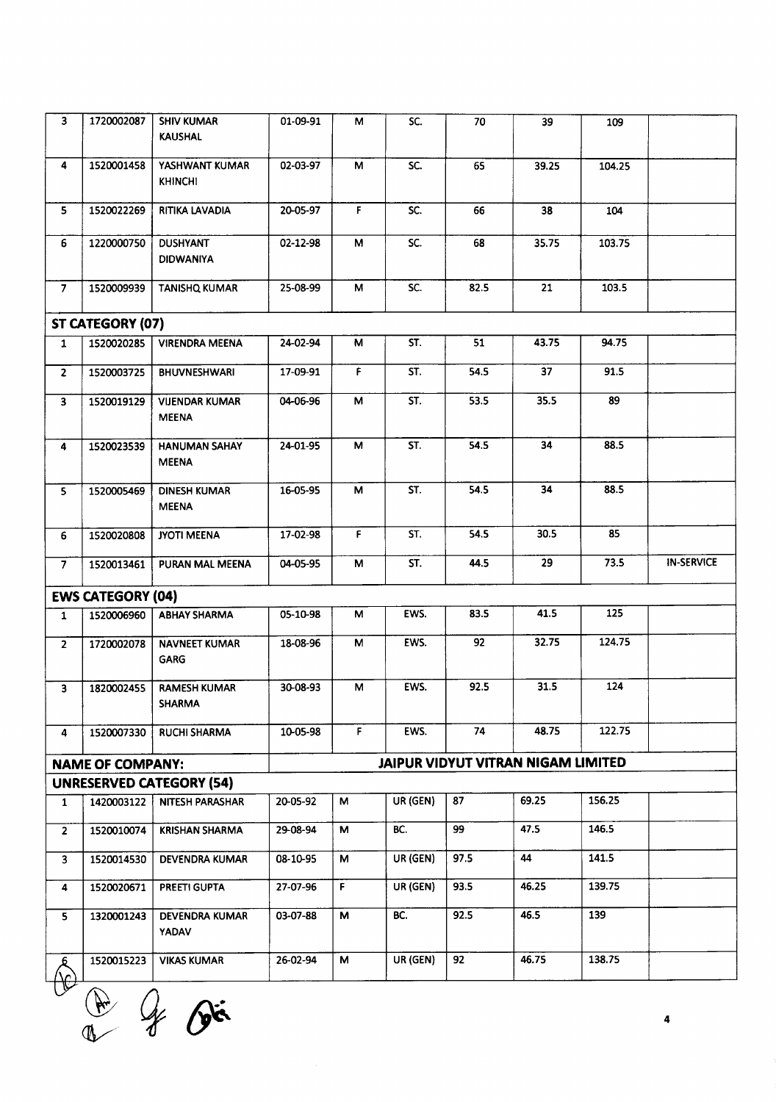| $\overline{\mathbf{3}}$ | 1720002087               | <b>SHIV KUMAR</b><br><b>KAUSHAL</b>   | 01-09-91 | М            | SC.      | 70   | 39                                 | 109    |                   |
|-------------------------|--------------------------|---------------------------------------|----------|--------------|----------|------|------------------------------------|--------|-------------------|
| $\overline{\mathbf{4}}$ | 1520001458               | YASHWANT KUMAR<br><b>KHINCHI</b>      | 02-03-97 | M            | SC.      | 65   | 39.25                              | 104.25 |                   |
| 5                       | 1520022269               | RITIKA LAVADIA                        | 20-05-97 | $\mathsf F$  | SC.      | 66   | 38                                 | 104    |                   |
| 6                       | 1220000750               | <b>DUSHYANT</b><br><b>DIDWANIYA</b>   | 02-12-98 | M            | SC.      | 68   | 35.75                              | 103.75 |                   |
| 7 <sup>7</sup>          | 1520009939               | <b>TANISHQ KUMAR</b>                  | 25-08-99 | М            | SC.      | 82.5 | 21                                 | 103.5  |                   |
|                         | ST CATEGORY (07)         |                                       |          |              |          |      |                                    |        |                   |
| $\mathbf{1}$            | 1520020285               | <b>VIRENDRA MEENA</b>                 | 24-02-94 | М            | ST.      | 51   | 43.75                              | 94.75  |                   |
| $\overline{2}$          | 1520003725               | <b>BHUVNESHWARI</b>                   | 17-09-91 | F.           | ST.      | 54.5 | 37                                 | 91.5   |                   |
| $\mathbf{3}$            | 1520019129               | <b>VIJENDAR KUMAR</b><br><b>MEENA</b> | 04-06-96 | М            | ST.      | 53.5 | 35.5                               | 89     |                   |
| 4                       | 1520023539               | <b>HANUMAN SAHAY</b><br><b>MEENA</b>  | 24-01-95 | м            | ST.      | 54.5 | 34                                 | 88.5   |                   |
| 5                       | 1520005469               | <b>DINESH KUMAR</b><br><b>MEENA</b>   | 16-05-95 | M            | ST.      | 54.5 | 34                                 | 88.5   |                   |
| 6                       | 1520020808               | JYOTI MEENA                           | 17-02-98 | F.           | ST.      | 54.5 | 30.5                               | 85     |                   |
| 7 <sup>7</sup>          | 1520013461               | PURAN MAL MEENA                       | 04-05-95 | M            | ST.      | 44.5 | 29                                 | 73.5   | <b>IN-SERVICE</b> |
|                         | <b>EWS CATEGORY (04)</b> |                                       |          |              |          |      |                                    |        |                   |
| $\mathbf{1}$            | 1520006960               | <b>ABHAY SHARMA</b>                   | 05-10-98 | м            | EWS.     | 83.5 | 41.5                               | 125    |                   |
| $\overline{2}$          | 1720002078               | <b>NAVNEET KUMAR</b><br>GARG          | 18-08-96 | M            | EWS.     | 92   | 32.75                              | 124.75 |                   |
| 3                       | 1820002455               | <b>RAMESH KUMAR</b><br><b>SHARMA</b>  | 30-08-93 | М            | EWS.     | 92.5 | 31.5                               | 124    |                   |
| 4                       | 1520007330               | <b>RUCHI SHARMA</b>                   | 10-05-98 | F.           | EWS.     | 74   | 48.75                              | 122.75 |                   |
|                         | <b>NAME OF COMPANY:</b>  |                                       |          |              |          |      | JAIPUR VIDYUT VITRAN NIGAM LIMITED |        |                   |
|                         |                          | <b>UNRESERVED CATEGORY (54)</b>       |          |              |          |      |                                    |        |                   |
| $\mathbf{1}$            | 1420003122               | NITESH PARASHAR                       | 20-05-92 | М            | UR (GEN) | 87   | 69.25                              | 156.25 |                   |
| $\overline{2}$          | 1520010074               | <b>KRISHAN SHARMA</b>                 | 29-08-94 | М            | BC.      | 99   | 47.5                               | 146.5  |                   |
| $\overline{\mathbf{3}}$ | 1520014530               | <b>DEVENDRA KUMAR</b>                 | 08-10-95 | М            | UR (GEN) | 97.5 | 44                                 | 141.5  |                   |
| $\overline{\mathbf{4}}$ | 1520020671               | PREETI GUPTA                          | 27-07-96 | $\mathbf{F}$ | UR (GEN) | 93.5 | 46.25                              | 139.75 |                   |
| 5 <sub>1</sub>          | 1320001243               | DEVENDRA KUMAR<br><b>YADAV</b>        | 03-07-88 | М            | BC.      | 92.5 | 46.5                               | 139    |                   |
| ᅕ<br><u>\^</u>          | 1520015223               | <b>VIKAS KUMAR</b>                    | 26-02-94 | М            | UR (GEN) | 92   | 46.75                              | 138.75 |                   |

UV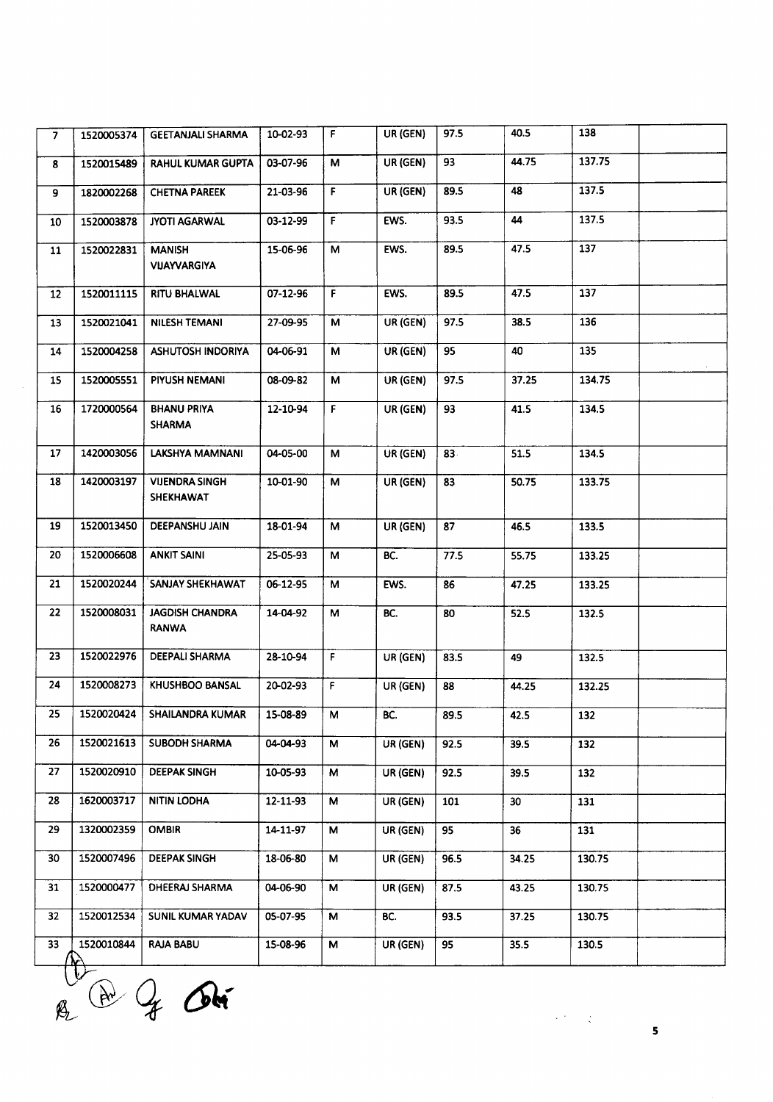| 7  | 1520005374 | <b>GEETANJALI SHARMA</b>               | 10-02-93 | F.          | UR (GEN) | 97.5 | 40.5              | 138    |  |
|----|------------|----------------------------------------|----------|-------------|----------|------|-------------------|--------|--|
| 8  | 1520015489 | <b>RAHUL KUMAR GUPTA</b>               | 03-07-96 | М           | UR (GEN) | 93   | 44.75             | 137.75 |  |
| 9  | 1820002268 | <b>CHETNA PAREEK</b>                   | 21-03-96 | F.          | UR (GEN) | 89.5 | 48                | 137.5  |  |
| 10 | 1520003878 | <b>JYOTI AGARWAL</b>                   | 03-12-99 | $\mathsf F$ | EWS.     | 93.5 | 44                | 137.5  |  |
| 11 | 1520022831 | <b>MANISH</b><br><b>VIJAYVARGIYA</b>   | 15-06-96 | м           | EWS.     | 89.5 | 47.5              | 137    |  |
| 12 | 1520011115 | RITU BHALWAL                           | 07-12-96 | F.          | EWS.     | 89.5 | 47.5              | 137    |  |
| 13 | 1520021041 | <b>NILESH TEMANI</b>                   | 27-09-95 | M           | UR (GEN) | 97.5 | 38.5              | 136    |  |
| 14 | 1520004258 | ASHUTOSH INDORIYA                      | 04-06-91 | М           | UR (GEN) | 95   | 40                | 135    |  |
| 15 | 1520005551 | PIYUSH NEMANI                          | 08-09-82 | М           | UR (GEN) | 97.5 | 37.25             | 134.75 |  |
| 16 | 1720000564 | <b>BHANU PRIYA</b><br><b>SHARMA</b>    | 12-10-94 | F.          | UR (GEN) | 93   | 41.5              | 134.5  |  |
| 17 | 1420003056 | LAKSHYA MAMNANI                        | 04-05-00 | м           | UR (GEN) | 83.  | 51.5              | 134.5  |  |
| 18 | 1420003197 | <b>VIJENDRA SINGH</b><br>SHEKHAWAT     | 10-01-90 | М           | UR (GEN) | 83   | 50.75             | 133.75 |  |
| 19 | 1520013450 | <b>DEEPANSHU JAIN</b>                  | 18-01-94 | м           | UR (GEN) | 87   | 46.5              | 133.5  |  |
| 20 | 1520006608 | <b>ANKIT SAINI</b>                     | 25-05-93 | М           | BC.      | 77.5 | 55.75             | 133.25 |  |
| 21 | 1520020244 | SANJAY SHEKHAWAT                       | 06-12-95 | М           | EWS.     | 86   | 47.25             | 133.25 |  |
| 22 | 1520008031 | <b>JAGDISH CHANDRA</b><br><b>RANWA</b> | 14-04-92 | M           | BC.      | 80   | 52.5              | 132.5  |  |
| 23 | 1520022976 | DEEPALI SHARMA                         | 28-10-94 | F.          | UR (GEN) | 83.5 | 49                | 132.5  |  |
| 24 | 1520008273 | KHUSHBOO BANSAL                        | 20-02-93 | F.          | UR (GEN) | 88   | 44.25             | 132.25 |  |
| 25 |            | 1520020424 SHAILANDRA KUMAR            | 15-08-89 | M           | BC.      | 89.5 | 42.5              | 132    |  |
| 26 | 1520021613 | <b>SUBODH SHARMA</b>                   | 04-04-93 | М           | UR (GEN) | 92.5 | 39.5              | 132    |  |
| 27 | 1520020910 | <b>DEEPAK SINGH</b>                    | 10-05-93 | M           | UR (GEN) | 92.5 | 39.5              | 132    |  |
| 28 | 1620003717 | <b>NITIN LODHA</b>                     | 12-11-93 | M           | UR (GEN) | 101  | 30 <sub>2</sub>   | 131    |  |
| 29 | 1320002359 | <b>OMBIR</b>                           | 14-11-97 | м           | UR (GEN) | 95   | 36                | 131    |  |
| 30 | 1520007496 | <b>DEEPAK SINGH</b>                    | 18-06-80 | М           | UR (GEN) | 96.5 | 34.25             | 130.75 |  |
| 31 | 1520000477 | <b>DHEERAJ SHARMA</b>                  | 04-06-90 | М           | UR (GEN) | 87.5 | 43.25             | 130.75 |  |
| 32 | 1520012534 | SUNIL KUMAR YADAV                      | 05-07-95 | М           | BC.      | 93.5 | 37.25             | 130.75 |  |
| 33 | 1520010844 | <b>RAJA BABU</b>                       | 15-08-96 | M           | UR (GEN) | 95   | $\overline{35.5}$ | 130.5  |  |

 $V_{\widehat{\Lambda}}$ 

 $\label{eq:2.1} \frac{1}{\sqrt{2\pi}}\int_{0}^{\infty} \frac{1}{\sqrt{2\pi}}\int_{0}^{\infty} \frac{1}{\sqrt{2\pi}}\int_{0}^{\infty} \frac{1}{\sqrt{2\pi}}\int_{0}^{\infty} \frac{1}{\sqrt{2\pi}}\int_{0}^{\infty} \frac{1}{\sqrt{2\pi}}\int_{0}^{\infty} \frac{1}{\sqrt{2\pi}}\int_{0}^{\infty} \frac{1}{\sqrt{2\pi}}\int_{0}^{\infty} \frac{1}{\sqrt{2\pi}}\int_{0}^{\infty} \frac{1}{\sqrt{2\pi}}\$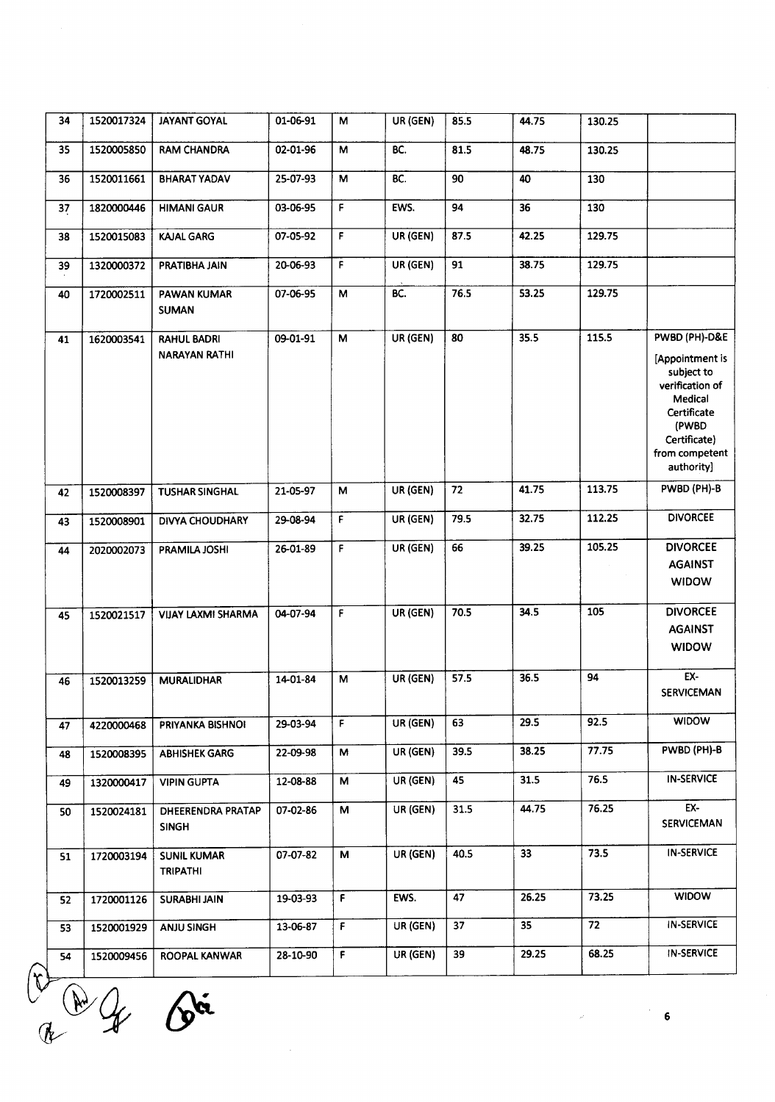| 34 | 1520017324 | <b>JAYANT GOYAL</b>                        | 01-06-91 | M  | UR (GEN) | 85.5 | 44.75 | 130.25 |                                                                                                                                                      |
|----|------------|--------------------------------------------|----------|----|----------|------|-------|--------|------------------------------------------------------------------------------------------------------------------------------------------------------|
| 35 | 1520005850 | <b>RAM CHANDRA</b>                         | 02-01-96 | м  | BC.      | 81.5 | 48.75 | 130.25 |                                                                                                                                                      |
| 36 | 1520011661 | <b>BHARAT YADAV</b>                        | 25-07-93 | М  | BC.      | 90   | 40    | 130    |                                                                                                                                                      |
| 37 | 1820000446 | <b>HIMANI GAUR</b>                         | 03-06-95 | F  | EWS.     | 94   | 36    | 130    |                                                                                                                                                      |
| 38 | 1520015083 | <b>KAJAL GARG</b>                          | 07-05-92 | F. | UR (GEN) | 87.5 | 42.25 | 129.75 |                                                                                                                                                      |
| 39 | 1320000372 | PRATIBHA JAIN                              | 20-06-93 | F  | UR (GEN) | 91   | 38.75 | 129.75 |                                                                                                                                                      |
| 40 | 1720002511 | PAWAN KUMAR<br><b>SUMAN</b>                | 07-06-95 | M  | BC.      | 76.5 | 53.25 | 129.75 |                                                                                                                                                      |
| 41 | 1620003541 | <b>RAHUL BADRI</b><br><b>NARAYAN RATHI</b> | 09-01-91 | M  | UR (GEN) | 80   | 35.5  | 115.5  | PWBD (PH)-D&E<br>[Appointment is<br>subject to<br>verification of<br>Medical<br>Certificate<br>(PWBD<br>Certificate)<br>from competent<br>authority] |
| 42 | 1520008397 | <b>TUSHAR SINGHAL</b>                      | 21-05-97 | M  | UR (GEN) | 72   | 41.75 | 113.75 | PWBD (PH)-B                                                                                                                                          |
| 43 | 1520008901 | <b>DIVYA CHOUDHARY</b>                     | 29-08-94 | F. | UR (GEN) | 79.5 | 32.75 | 112.25 | <b>DIVORCEE</b>                                                                                                                                      |
| 44 | 2020002073 | PRAMILA JOSHI                              | 26-01-89 | F  | UR (GEN) | 66   | 39.25 | 105.25 | <b>DIVORCEE</b><br><b>AGAINST</b><br><b>WIDOW</b>                                                                                                    |
| 45 | 1520021517 | <b>VIJAY LAXMI SHARMA</b>                  | 04-07-94 | F  | UR (GEN) | 70.5 | 34.5  | 105    | <b>DIVORCEE</b><br><b>AGAINST</b><br><b>WIDOW</b>                                                                                                    |
| 46 | 1520013259 | <b>MURALIDHAR</b>                          | 14-01-84 | M  | UR (GEN) | 57.5 | 36.5  | 94     | EX-<br><b>SERVICEMAN</b>                                                                                                                             |
| 47 | 4220000468 | PRIYANKA BISHNOI                           | 29-03-94 | F  | UR (GEN) | 63   | 29.5  | 92.5   | <b>WIDOW</b>                                                                                                                                         |
| 48 | 1520008395 | <b>ABHISHEK GARG</b>                       | 22-09-98 | M  | UR (GEN) | 39.5 | 38.25 | 77.75  | PWBD (PH)-B                                                                                                                                          |
| 49 | 1320000417 | <b>VIPIN GUPTA</b>                         | 12-08-88 | М  | UR (GEN) | 45   | 31.5  | 76.5   | <b>IN-SERVICE</b>                                                                                                                                    |
| 50 | 1520024181 | DHEERENDRA PRATAP<br><b>SINGH</b>          | 07-02-86 | M  | UR (GEN) | 31.5 | 44.75 | 76.25  | EX-<br>SERVICEMAN                                                                                                                                    |
| 51 | 1720003194 | <b>SUNIL KUMAR</b><br><b>TRIPATHI</b>      | 07-07-82 | M  | UR (GEN) | 40.5 | 33    | 73.5   | <b>IN-SERVICE</b>                                                                                                                                    |
| 52 | 1720001126 | <b>SURABHI JAIN</b>                        | 19-03-93 | F. | EWS.     | 47   | 26.25 | 73.25  | <b>WIDOW</b>                                                                                                                                         |
| 53 | 1520001929 | ANJU SINGH                                 | 13-06-87 | F  | UR (GEN) | 37   | 35    | 72     | <b>IN-SERVICE</b>                                                                                                                                    |
| 54 | 1520009456 | ROOPAL KANWAR                              | 28-10-90 | F  | UR (GEN) | 39   | 29.25 | 68.25  | <b>IN-SERVICE</b>                                                                                                                                    |

#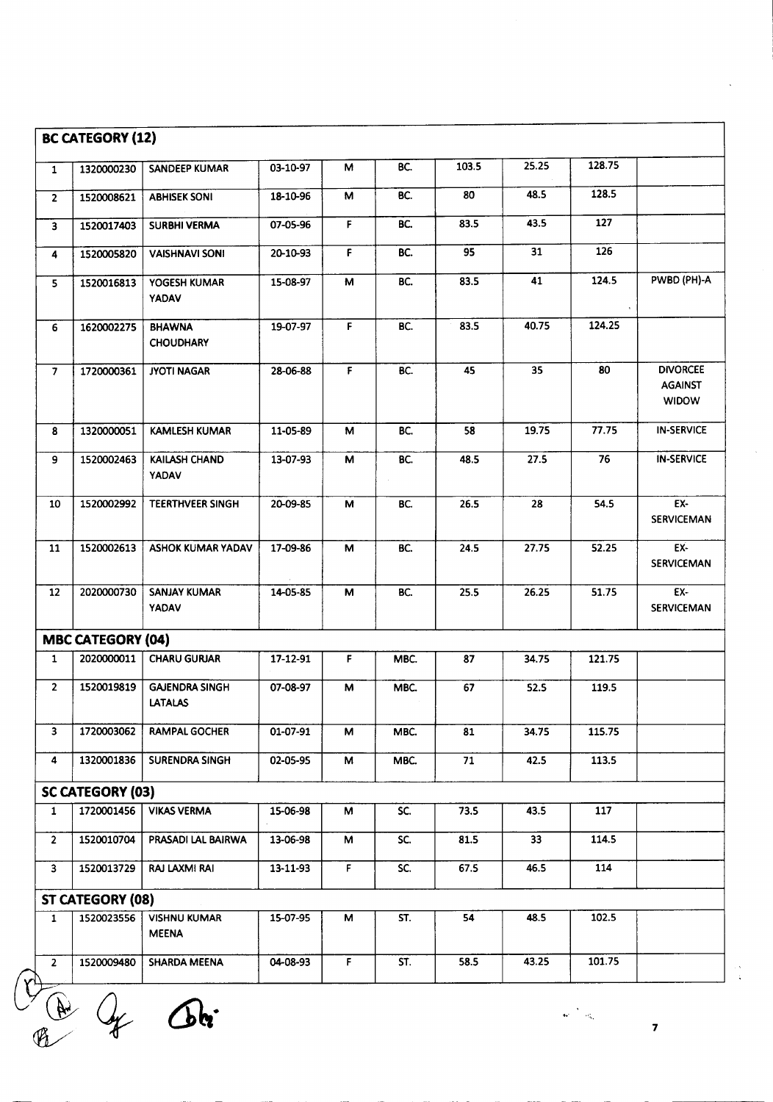| 25.25<br>128.75<br>103.5<br>BC.<br>03-10-97<br>М<br>1320000230<br>SANDEEP KUMAR<br>$\mathbf{1}$<br>128.5<br>48.5<br>80<br>BC.<br>18-10-96<br>м<br>1520008621<br><b>ABHISEK SONI</b><br>$\overline{2}$<br>127<br>43.5<br>BC.<br>83.5<br>07-05-96<br>F<br>1520017403<br><b>SURBHI VERMA</b><br>$\overline{\mathbf{3}}$<br>126<br>95<br>31<br>F<br>BC.<br>20-10-93<br><b>VAISHNAVI SONI</b><br>1520005820<br>4<br>124.5<br>83.5<br>41<br>BC.<br>15-08-97<br>М<br>YOGESH KUMAR<br>1520016813<br>5.<br><b>YADAV</b><br>40.75<br>124.25<br>F<br>BC.<br>83.5<br>19-07-97<br>1620002275<br><b>BHAWNA</b><br>6<br><b>CHOUDHARY</b><br>F<br>BC.<br>45<br>35<br>80<br>$\overline{7}$<br>1720000361<br><b>JYOTI NAGAR</b><br>28-06-88<br><b>AGAINST</b><br><b>WIDOW</b><br>77.75<br>19.75<br>BC.<br>58<br>1320000051<br><b>KAMLESH KUMAR</b><br>11-05-89<br>M<br>8<br>27.5<br>76<br>9<br>1520002463<br>KAILASH CHAND<br>13-07-93<br>BC.<br>48.5<br>М<br><b>YADAV</b><br>EX-<br>1520002992<br><b>TEERTHVEER SINGH</b><br>26.5<br>28<br>54.5<br>10<br>20-09-85<br>м<br>BC.<br>1520002613<br><b>ASHOK KUMAR YADAV</b><br>17-09-86<br>24.5<br>27.75<br>52.25<br>EX-<br>11<br>M<br>BC.<br>2020000730<br><b>SANJAY KUMAR</b><br>14-05-85<br>BC.<br>25.5<br>26.25<br>51.75<br>EX-<br>12<br>M<br>YADAV<br><b>MBC CATEGORY (04)</b><br>$\mathsf F$<br>2020000011<br><b>CHARU GURJAR</b><br>17-12-91<br>87<br>34.75<br>121.75<br>$\mathbf{1}$<br>MBC.<br>$\overline{2}$<br>1520019819<br>67<br>119.5<br><b>GAJENDRA SINGH</b><br>07-08-97<br>м<br>MBC.<br>52.5<br><b>LATALAS</b><br>$\overline{\mathbf{3}}$<br>1720003062<br>01-07-91<br>34.75<br>115.75<br><b>RAMPAL GOCHER</b><br>М<br>MBC.<br>81<br><b>SURENDRA SINGH</b><br>71<br>42.5<br>113.5<br>4<br>1320001836<br>02-05-95<br>M<br>MBC.<br><b>SC CATEGORY (03)</b><br>1720001456<br>SC.<br>73.5<br><b>VIKAS VERMA</b><br>43.5<br>117<br>$\mathbf{1}$<br>15-06-98<br>М<br>114.5<br>$\overline{2}$<br>1520010704<br>PRASADI LAL BAIRWA<br>33<br>13-06-98<br>М<br>SC.<br>81.5<br>$\overline{SC}$ .<br>114<br>F<br>46.5<br>$\mathbf{3}$<br>1520013729<br><b>RAJ LAXMI RAI</b><br>13-11-93<br>67.5<br><b>ST CATEGORY (08)</b><br><b>VISHNU KUMAR</b><br>54<br>48.5<br>102.5<br>1520023556<br>15-07-95<br>M<br>ST.<br>$\mathbf{1}$<br><b>MEENA</b><br>F<br>101.75<br>ST.<br>43.25<br><b>SHARDA MEENA</b><br>04-08-93<br>58.5<br>$\overline{2}$<br>1520009480 | <b>BC CATEGORY (12)</b> |  |  |  |                   |
|------------------------------------------------------------------------------------------------------------------------------------------------------------------------------------------------------------------------------------------------------------------------------------------------------------------------------------------------------------------------------------------------------------------------------------------------------------------------------------------------------------------------------------------------------------------------------------------------------------------------------------------------------------------------------------------------------------------------------------------------------------------------------------------------------------------------------------------------------------------------------------------------------------------------------------------------------------------------------------------------------------------------------------------------------------------------------------------------------------------------------------------------------------------------------------------------------------------------------------------------------------------------------------------------------------------------------------------------------------------------------------------------------------------------------------------------------------------------------------------------------------------------------------------------------------------------------------------------------------------------------------------------------------------------------------------------------------------------------------------------------------------------------------------------------------------------------------------------------------------------------------------------------------------------------------------------------------------------------------------------------------------------------------------------------------------------------------------------------------------------------------------------------------------------------------------------------------------------------------------------------------------------------------------------------------------------------------------------------------------------------------------|-------------------------|--|--|--|-------------------|
|                                                                                                                                                                                                                                                                                                                                                                                                                                                                                                                                                                                                                                                                                                                                                                                                                                                                                                                                                                                                                                                                                                                                                                                                                                                                                                                                                                                                                                                                                                                                                                                                                                                                                                                                                                                                                                                                                                                                                                                                                                                                                                                                                                                                                                                                                                                                                                                          |                         |  |  |  |                   |
|                                                                                                                                                                                                                                                                                                                                                                                                                                                                                                                                                                                                                                                                                                                                                                                                                                                                                                                                                                                                                                                                                                                                                                                                                                                                                                                                                                                                                                                                                                                                                                                                                                                                                                                                                                                                                                                                                                                                                                                                                                                                                                                                                                                                                                                                                                                                                                                          |                         |  |  |  |                   |
|                                                                                                                                                                                                                                                                                                                                                                                                                                                                                                                                                                                                                                                                                                                                                                                                                                                                                                                                                                                                                                                                                                                                                                                                                                                                                                                                                                                                                                                                                                                                                                                                                                                                                                                                                                                                                                                                                                                                                                                                                                                                                                                                                                                                                                                                                                                                                                                          |                         |  |  |  |                   |
|                                                                                                                                                                                                                                                                                                                                                                                                                                                                                                                                                                                                                                                                                                                                                                                                                                                                                                                                                                                                                                                                                                                                                                                                                                                                                                                                                                                                                                                                                                                                                                                                                                                                                                                                                                                                                                                                                                                                                                                                                                                                                                                                                                                                                                                                                                                                                                                          |                         |  |  |  |                   |
|                                                                                                                                                                                                                                                                                                                                                                                                                                                                                                                                                                                                                                                                                                                                                                                                                                                                                                                                                                                                                                                                                                                                                                                                                                                                                                                                                                                                                                                                                                                                                                                                                                                                                                                                                                                                                                                                                                                                                                                                                                                                                                                                                                                                                                                                                                                                                                                          |                         |  |  |  | PWBD (PH)-A       |
|                                                                                                                                                                                                                                                                                                                                                                                                                                                                                                                                                                                                                                                                                                                                                                                                                                                                                                                                                                                                                                                                                                                                                                                                                                                                                                                                                                                                                                                                                                                                                                                                                                                                                                                                                                                                                                                                                                                                                                                                                                                                                                                                                                                                                                                                                                                                                                                          |                         |  |  |  |                   |
|                                                                                                                                                                                                                                                                                                                                                                                                                                                                                                                                                                                                                                                                                                                                                                                                                                                                                                                                                                                                                                                                                                                                                                                                                                                                                                                                                                                                                                                                                                                                                                                                                                                                                                                                                                                                                                                                                                                                                                                                                                                                                                                                                                                                                                                                                                                                                                                          |                         |  |  |  | <b>DIVORCEE</b>   |
|                                                                                                                                                                                                                                                                                                                                                                                                                                                                                                                                                                                                                                                                                                                                                                                                                                                                                                                                                                                                                                                                                                                                                                                                                                                                                                                                                                                                                                                                                                                                                                                                                                                                                                                                                                                                                                                                                                                                                                                                                                                                                                                                                                                                                                                                                                                                                                                          |                         |  |  |  | <b>IN-SERVICE</b> |
|                                                                                                                                                                                                                                                                                                                                                                                                                                                                                                                                                                                                                                                                                                                                                                                                                                                                                                                                                                                                                                                                                                                                                                                                                                                                                                                                                                                                                                                                                                                                                                                                                                                                                                                                                                                                                                                                                                                                                                                                                                                                                                                                                                                                                                                                                                                                                                                          |                         |  |  |  | <b>IN-SERVICE</b> |
|                                                                                                                                                                                                                                                                                                                                                                                                                                                                                                                                                                                                                                                                                                                                                                                                                                                                                                                                                                                                                                                                                                                                                                                                                                                                                                                                                                                                                                                                                                                                                                                                                                                                                                                                                                                                                                                                                                                                                                                                                                                                                                                                                                                                                                                                                                                                                                                          |                         |  |  |  | <b>SERVICEMAN</b> |
|                                                                                                                                                                                                                                                                                                                                                                                                                                                                                                                                                                                                                                                                                                                                                                                                                                                                                                                                                                                                                                                                                                                                                                                                                                                                                                                                                                                                                                                                                                                                                                                                                                                                                                                                                                                                                                                                                                                                                                                                                                                                                                                                                                                                                                                                                                                                                                                          |                         |  |  |  | <b>SERVICEMAN</b> |
|                                                                                                                                                                                                                                                                                                                                                                                                                                                                                                                                                                                                                                                                                                                                                                                                                                                                                                                                                                                                                                                                                                                                                                                                                                                                                                                                                                                                                                                                                                                                                                                                                                                                                                                                                                                                                                                                                                                                                                                                                                                                                                                                                                                                                                                                                                                                                                                          |                         |  |  |  | <b>SERVICEMAN</b> |
|                                                                                                                                                                                                                                                                                                                                                                                                                                                                                                                                                                                                                                                                                                                                                                                                                                                                                                                                                                                                                                                                                                                                                                                                                                                                                                                                                                                                                                                                                                                                                                                                                                                                                                                                                                                                                                                                                                                                                                                                                                                                                                                                                                                                                                                                                                                                                                                          |                         |  |  |  |                   |
|                                                                                                                                                                                                                                                                                                                                                                                                                                                                                                                                                                                                                                                                                                                                                                                                                                                                                                                                                                                                                                                                                                                                                                                                                                                                                                                                                                                                                                                                                                                                                                                                                                                                                                                                                                                                                                                                                                                                                                                                                                                                                                                                                                                                                                                                                                                                                                                          |                         |  |  |  |                   |
|                                                                                                                                                                                                                                                                                                                                                                                                                                                                                                                                                                                                                                                                                                                                                                                                                                                                                                                                                                                                                                                                                                                                                                                                                                                                                                                                                                                                                                                                                                                                                                                                                                                                                                                                                                                                                                                                                                                                                                                                                                                                                                                                                                                                                                                                                                                                                                                          |                         |  |  |  |                   |
|                                                                                                                                                                                                                                                                                                                                                                                                                                                                                                                                                                                                                                                                                                                                                                                                                                                                                                                                                                                                                                                                                                                                                                                                                                                                                                                                                                                                                                                                                                                                                                                                                                                                                                                                                                                                                                                                                                                                                                                                                                                                                                                                                                                                                                                                                                                                                                                          |                         |  |  |  |                   |
|                                                                                                                                                                                                                                                                                                                                                                                                                                                                                                                                                                                                                                                                                                                                                                                                                                                                                                                                                                                                                                                                                                                                                                                                                                                                                                                                                                                                                                                                                                                                                                                                                                                                                                                                                                                                                                                                                                                                                                                                                                                                                                                                                                                                                                                                                                                                                                                          |                         |  |  |  |                   |
|                                                                                                                                                                                                                                                                                                                                                                                                                                                                                                                                                                                                                                                                                                                                                                                                                                                                                                                                                                                                                                                                                                                                                                                                                                                                                                                                                                                                                                                                                                                                                                                                                                                                                                                                                                                                                                                                                                                                                                                                                                                                                                                                                                                                                                                                                                                                                                                          |                         |  |  |  |                   |
|                                                                                                                                                                                                                                                                                                                                                                                                                                                                                                                                                                                                                                                                                                                                                                                                                                                                                                                                                                                                                                                                                                                                                                                                                                                                                                                                                                                                                                                                                                                                                                                                                                                                                                                                                                                                                                                                                                                                                                                                                                                                                                                                                                                                                                                                                                                                                                                          |                         |  |  |  |                   |
|                                                                                                                                                                                                                                                                                                                                                                                                                                                                                                                                                                                                                                                                                                                                                                                                                                                                                                                                                                                                                                                                                                                                                                                                                                                                                                                                                                                                                                                                                                                                                                                                                                                                                                                                                                                                                                                                                                                                                                                                                                                                                                                                                                                                                                                                                                                                                                                          |                         |  |  |  |                   |
|                                                                                                                                                                                                                                                                                                                                                                                                                                                                                                                                                                                                                                                                                                                                                                                                                                                                                                                                                                                                                                                                                                                                                                                                                                                                                                                                                                                                                                                                                                                                                                                                                                                                                                                                                                                                                                                                                                                                                                                                                                                                                                                                                                                                                                                                                                                                                                                          |                         |  |  |  |                   |
|                                                                                                                                                                                                                                                                                                                                                                                                                                                                                                                                                                                                                                                                                                                                                                                                                                                                                                                                                                                                                                                                                                                                                                                                                                                                                                                                                                                                                                                                                                                                                                                                                                                                                                                                                                                                                                                                                                                                                                                                                                                                                                                                                                                                                                                                                                                                                                                          |                         |  |  |  |                   |
|                                                                                                                                                                                                                                                                                                                                                                                                                                                                                                                                                                                                                                                                                                                                                                                                                                                                                                                                                                                                                                                                                                                                                                                                                                                                                                                                                                                                                                                                                                                                                                                                                                                                                                                                                                                                                                                                                                                                                                                                                                                                                                                                                                                                                                                                                                                                                                                          |                         |  |  |  |                   |
|                                                                                                                                                                                                                                                                                                                                                                                                                                                                                                                                                                                                                                                                                                                                                                                                                                                                                                                                                                                                                                                                                                                                                                                                                                                                                                                                                                                                                                                                                                                                                                                                                                                                                                                                                                                                                                                                                                                                                                                                                                                                                                                                                                                                                                                                                                                                                                                          |                         |  |  |  |                   |

 $\omega^{(1)}$  and  $\omega^{(2)}$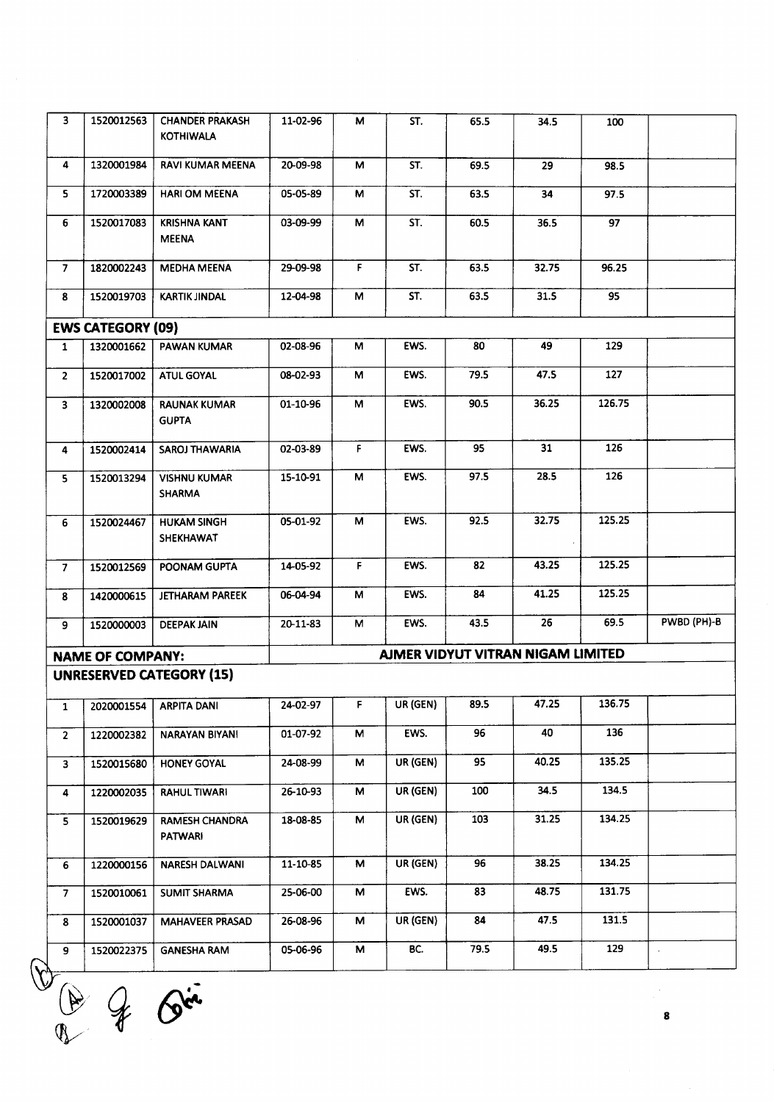| 3              | 1520012563               | <b>CHANDER PRAKASH</b><br><b>KOTHIWALA</b> | 11-02-96   | м  | ST.          | 65.5 | 34.5                              | 100    |             |
|----------------|--------------------------|--------------------------------------------|------------|----|--------------|------|-----------------------------------|--------|-------------|
| 4              | 1320001984               | RAVI KUMAR MEENA                           | 20-09-98   | м  | ST.          | 69.5 | 29                                | 98.5   |             |
| 5.             | 1720003389               | <b>HARI OM MEENA</b>                       | 05-05-89   | м  | ST.          | 63.5 | 34                                | 97.5   |             |
| 6.             | 1520017083               | <b>KRISHNA KANT</b><br><b>MEENA</b>        | 03-09-99   | М  | ST.          | 60.5 | 36.5                              | 97     |             |
| $\overline{7}$ | 1820002243               | <b>MEDHA MEENA</b>                         | 29-09-98   | F. | ST.          | 63.5 | 32.75                             | 96.25  |             |
| 8              | 1520019703               | <b>KARTIK JINDAL</b>                       | 12-04-98   | М  | ST.          | 63.5 | 31.5                              | 95     |             |
|                | <b>EWS CATEGORY (09)</b> |                                            |            |    |              |      |                                   |        |             |
| $\mathbf{1}$   | 1320001662               | <b>PAWAN KUMAR</b>                         | 02-08-96   | М  | EWS.         | 80   | 49                                | 129    |             |
| $\mathbf{2}$   | 1520017002               | <b>ATUL GOYAL</b>                          | 08-02-93   | М  | EWS.         | 79.5 | 47.5                              | 127    |             |
| $\mathbf{3}$   | 1320002008               | <b>RAUNAK KUMAR</b><br><b>GUPTA</b>        | 01-10-96   | М  | EWS.         | 90.5 | 36.25                             | 126.75 |             |
| 4              | 1520002414               | <b>SAROJ THAWARIA</b>                      | 02-03-89   | F  | EWS.         | 95   | 31                                | 126    |             |
| 5              | 1520013294               | <b>VISHNU KUMAR</b><br><b>SHARMA</b>       | 15-10-91   | м  | EWS.         | 97.5 | 28.5                              | 126    |             |
| 6              | 1520024467               | <b>HUKAM SINGH</b><br>SHEKHAWAT            | 05-01-92   | M  | EWS.         | 92.5 | 32.75                             | 125.25 |             |
| $\overline{7}$ | 1520012569               | POONAM GUPTA                               | 14-05-92   | F. | EWS.         | 82   | 43.25                             | 125.25 |             |
| 8              | 1420000615               | <b>JETHARAM PAREEK</b>                     | 06-04-94   | M  | EWS.         | 84   | 41.25                             | 125.25 |             |
| 9              | 1520000003               | <b>DEEPAK JAIN</b>                         | 20-11-83   | м  | EWS.         | 43.5 | 26                                | 69.5   | PWBD (PH)-B |
|                | <b>NAME OF COMPANY:</b>  |                                            |            |    |              |      | AJMER VIDYUT VITRAN NIGAM LIMITED |        |             |
|                |                          | <b>UNRESERVED CATEGORY (15)</b>            |            |    |              |      |                                   |        |             |
|                |                          | 1 2020001554 ARPITA DANI                   | $24-02-97$ |    | $F$ UR (GEN) | 89.5 | 47.25                             | 136.75 |             |
| $\overline{2}$ | 1220002382               | <b>NARAYAN BIYAN!</b>                      | 01-07-92   | М  | EWS.         | 96   | 40                                | 136    |             |
| 3              | 1520015680               | <b>HONEY GOYAL</b>                         | 24-08-99   | М  | UR (GEN)     | 95   | 40.25                             | 135.25 |             |
| 4              | 1220002035               | <b>RAHUL TIWARI</b>                        | 26-10-93   | M  | UR (GEN)     | 100  | 34.5                              | 134.5  |             |
| 5 <sub>1</sub> | 1520019629               | <b>RAMESH CHANDRA</b><br><b>PATWARI</b>    | 18-08-85   | М  | UR (GEN)     | 103  | 31.25                             | 134.25 |             |
| 6              | 1220000156               | NARESH DALWANI                             | 11-10-85   | M  | UR (GEN)     | 96   | 38.25                             | 134.25 |             |
| 7 <sup>7</sup> | 1520010061               | <b>SUMIT SHARMA</b>                        | 25-06-00   | М  | EWS.         | 83   | 48.75                             | 131.75 |             |
| 8              | 1520001037               | <b>MAHAVEER PRASAD</b>                     | 26-08-96   | м  | UR (GEN)     | 84   | 47.5                              | 131.5  |             |
| 9              | 1520022375               | <b>GANESHA RAM</b>                         | 05-06-96   | М  | BC.          | 79.5 | 49.5                              | 129    |             |

 $W_{\odot}$  .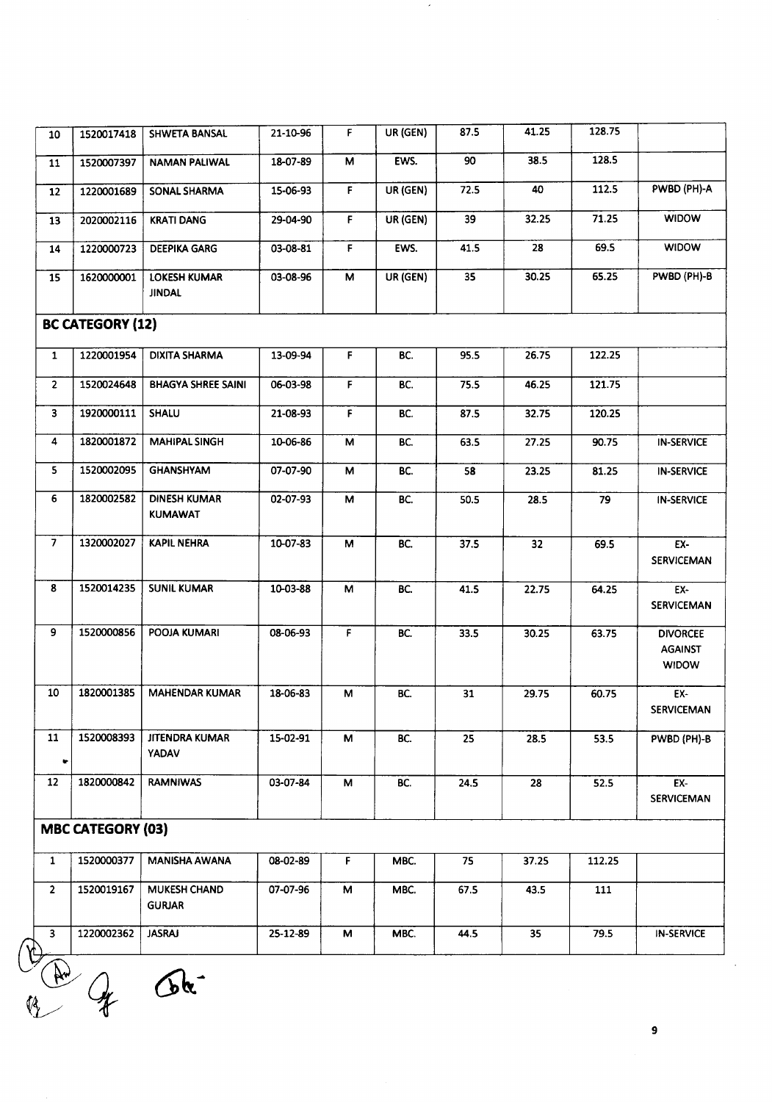11 1520007397 NAMAN PALIWAL 18-07-89 <sup>M</sup> EWS. 90 38.5 128.5 12 1220001689 SONAl SHARMA 15-06-93 <sup>F</sup> UR(GEN) 72.5 40 112.5 PWBD (PH)-A 13 2020002116 KRATI DANG 29-04-90 <sup>F</sup> UR (GEN) 39 32.25 71.25 WIDOW 14 1220000723 DEEPIKAGARG 03-08-81 F EWS. 41.5 28 69.5 WIDOW 15 1620000001 lOKESH KUMAR 03-08-96 M UR(GEN) 35 30.25 65.25 PWBD (PH)-B JINDAl **BC CATEGORY (12)** 1 1220001954 DIXITA SHARMA 13-09-94 F Be. 95.5 26.75 122.25 2 1520024648 BHAGYA SHREESAINI 06-03-98 F Be. 75.5 46.25 121.75 3 | 1920000111 | SHALU | 21-08-93 | F | BC. | 87.5 | 32.75 | 120.25 4 | 1820001872 | MAHIPAL SINGH | 10-06-86 | M | BC. | 63.5 | 27.25 | 90.75 | IN-SERVICE 5 | 1520002095 | GHANSHYAM | 07-07-90 | M | BC. | 58 | 23.25 | 81.25 | IN-SERVICE 6 | 1820002582 | DINESH KUMAR | 02-07-93 | M | BC. | 50.5 | 28.5 | 79 | IN-SERVICE KUMAWAT 7 |1320002027 | KAPILNEHRA | 10-07-83 | M | BC. | 37.5 | 32 | 69.5 | EX-**SERVICEMAN** 8 1520014235 SUNil KUMAR 10-03-88 M Be. 41.5 22.75 64.25 EX-SERVICEMAN 9 | 1520000856 | POOJA KUMARI | 08-06-93 | F | BC. | 33.5 | 30.25 | 63.75 | DIVORCEE AGAINST WIDOW 10 1820001385 MAHENDAR KUMAR 18-06-83 M Be. 31 29.75 60.75 EX-SERVICEMAN 11 1520008393 JITENDRA KUMAR 15-02-91 M Be. 25 28.5 53.5 PWBD(PH)-B YADAV or 12 | 1820000842 | RAMNIWAS | 03-07-84 | M | BC. | 24.5 | 28 | 52.5 | EX-SERVICEMAN **MBC CATEGORY (03)** 1 1520000377 MANISHA AWANA 08-02-89 F MBe. 75 37.25 112.25 2 | 1520019167 | MUKESH CHAND | 07-07-96 | M | MBC. | 67.5 | 43.5 | 111 GURJAR 3 | 1220002362 | JASRAJ | 25-12-89 | M | MBC. | 44.5 | 35 | 79.5 | iN-SERVICE  $\sqrt{2}$ @>

 $Q_{\alpha}$ 

10 1520017418 SHWETA BANSAL 21-10-96 <sup>F</sup> UR (GEN) 87.5 41.25 128.75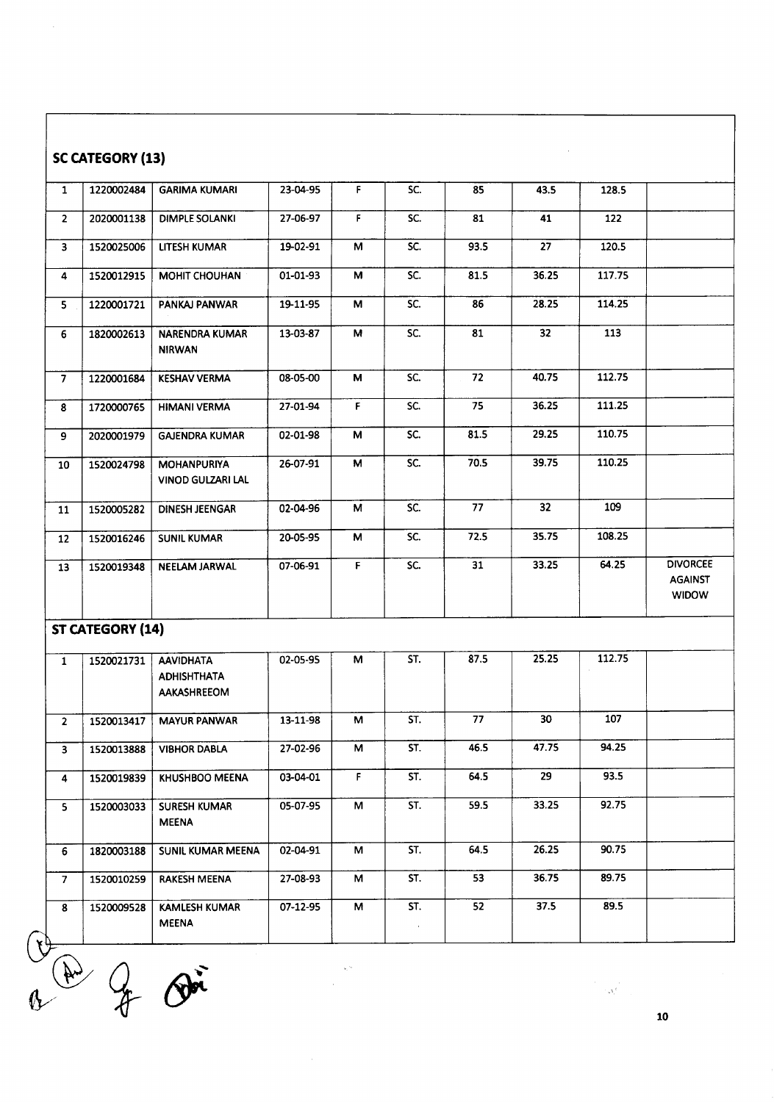|                         |                         |                                                              |          |             |               |      |                 | $\label{eq:R1} \frac{1}{\left(1-\frac{1}{2}\right)}\leq \frac{1}{\sqrt{N}}\sum_{i=1}^N\frac{1}{\left(1-\frac{1}{2}\right)}\,.$ |                                |
|-------------------------|-------------------------|--------------------------------------------------------------|----------|-------------|---------------|------|-----------------|--------------------------------------------------------------------------------------------------------------------------------|--------------------------------|
| $\mathbb{Q}$            | $\frac{1}{4}$           | $\mathcal{D}$                                                |          |             |               |      |                 |                                                                                                                                |                                |
| 8                       | 1520009528              | <b>KAMLESH KUMAR</b><br><b>MEENA</b>                         | 07-12-95 | M           | ST.<br>$\sim$ | 52   | 37.5            | 89.5                                                                                                                           |                                |
| 7                       | 1520010259              | <b>RAKESH MEENA</b>                                          | 27-08-93 | м           | ST.           | 53   | 36.75           | 89.75                                                                                                                          |                                |
| 6                       | 1820003188              | SUNIL KUMAR MEENA                                            | 02-04-91 | М           | ST.           | 64.5 | 26.25           | 90.75                                                                                                                          |                                |
| 5                       | 1520003033              | <b>SURESH KUMAR</b><br><b>MEENA</b>                          | 05-07-95 | М           | ST.           | 59.5 | 33.25           | 92.75                                                                                                                          |                                |
| 4                       | 1520019839              | KHUSHBOO MEENA                                               | 03-04-01 | $\mathsf F$ | ST.           | 64.5 | 29              | 93.5                                                                                                                           |                                |
| 3                       | 1520013888              | <b>VIBHOR DABLA</b>                                          | 27-02-96 | М           | ST.           | 46.5 | 47.75           | 94.25                                                                                                                          |                                |
| $\overline{2}$          | 1520013417              | <b>MAYUR PANWAR</b>                                          | 13-11-98 | M           | ST.           | 77   | 30              | 107                                                                                                                            |                                |
| $\mathbf{1}$            | 1520021731              | <b>AAVIDHATA</b><br><b>ADHISHTHATA</b><br><b>AAKASHREEOM</b> | 02-05-95 | м           | ST.           | 87.5 | 25.25           | 112.75                                                                                                                         |                                |
|                         | <b>ST CATEGORY (14)</b> |                                                              |          |             |               |      |                 |                                                                                                                                |                                |
| 13                      | 1520019348              | <b>NEELAM JARWAL</b>                                         |          |             |               |      |                 |                                                                                                                                | <b>AGAINST</b><br><b>WIDOW</b> |
| 12                      |                         |                                                              | 07-06-91 | F           | SC.           | 31   | 33.25           | 64.25                                                                                                                          | <b>DIVORCEE</b>                |
|                         | 1520016246              | <b>SUNIL KUMAR</b>                                           | 20-05-95 | M           | SC.           | 72.5 | 35.75           | 108.25                                                                                                                         |                                |
| 11                      | 1520005282              | <b>VINOD GULZARI LAL</b><br><b>DINESH JEENGAR</b>            | 02-04-96 | M           | SC.           | 77   | 32 <sub>2</sub> | 109                                                                                                                            |                                |
| 10                      | 1520024798              | <b>MOHANPURIYA</b>                                           | 26-07-91 | М           | SC.           | 70.5 | 39.75           | 110.25                                                                                                                         |                                |
| 9                       | 2020001979              | <b>GAJENDRA KUMAR</b>                                        | 02-01-98 | М           | SC.           | 81.5 | 29.25           | 110.75                                                                                                                         |                                |
| 8                       | 1720000765              | <b>HIMANI VERMA</b>                                          | 27-01-94 | F.          | SC.           | 75   | 36.25           | 111.25                                                                                                                         |                                |
| $\overline{7}$          | 1220001684              | <b>KESHAV VERMA</b>                                          | 08-05-00 | M           | SC.           | 72   | 40.75           | 112.75                                                                                                                         |                                |
| 6                       | 1820002613              | <b>NARENDRA KUMAR</b><br><b>NIRWAN</b>                       | 13-03-87 | M           | SC.           | 81   | 32 <sub>2</sub> | 113                                                                                                                            |                                |
| 5.                      | 1220001721              | PANKAJ PANWAR                                                | 19-11-95 | М           | SC.           | 86   | 28.25           | 114.25                                                                                                                         |                                |
| 4                       | 1520012915              | <b>MOHIT CHOUHAN</b>                                         | 01-01-93 | M           | SC.           | 81.5 | 36.25           | 117.75                                                                                                                         |                                |
| $\overline{\mathbf{3}}$ | 1520025006              | LITESH KUMAR                                                 | 19-02-91 | М           | SC.           | 93.5 | 27              | 120.5                                                                                                                          |                                |
| $\overline{2}$          | 2020001138              | <b>DIMPLE SOLANKI</b>                                        | 27-06-97 | $\mathsf F$ | SC.           | 81   | 41              | 122                                                                                                                            |                                |
| $\mathbf{1}$            | 1220002484              | <b>GARIMA KUMARI</b>                                         | 23-04-95 | F           | SC.           | 85   | 43.5            | 128.5                                                                                                                          |                                |

 $\hat{\boldsymbol{\beta}}$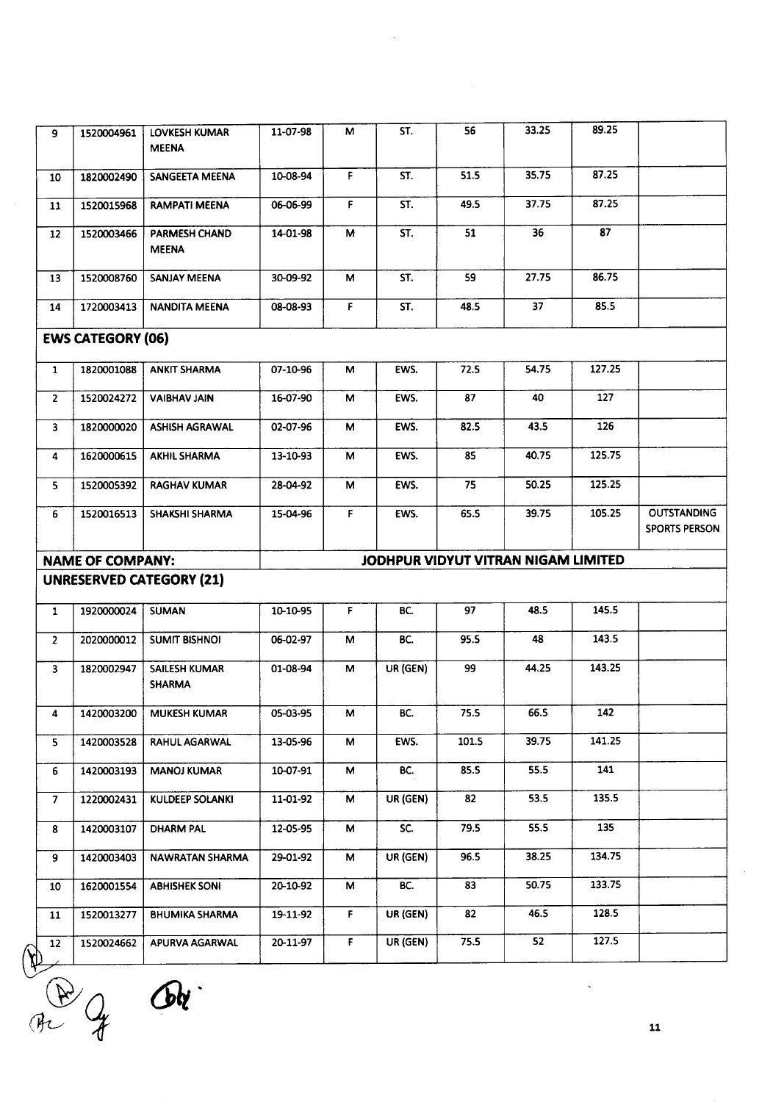| 1820002490<br>1520015968<br>1520003466<br>1520008760<br>1720003413<br><b>EWS CATEGORY (06)</b><br>1820001088<br>1520024272<br>1820000020<br>1620000615<br>1520005392<br>1520016513<br><b>NAME OF COMPANY:</b> | SANGEETA MEENA<br><b>RAMPATI MEENA</b><br>PARMESH CHAND<br><b>MEENA</b><br><b>SANJAY MEENA</b><br><b>NANDITA MEENA</b><br><b>ANKIT SHARMA</b><br><b>VAIBHAV JAIN</b><br><b>ASHISH AGRAWAL</b><br><b>AKHIL SHARMA</b><br><b>RAGHAV KUMAR</b><br>SHAKSHI SHARMA<br><b>UNRESERVED CATEGORY (21)</b> | 10-08-94<br>06-06-99<br>14-01-98<br>30-09-92<br>08-08-93<br>07-10-96<br>16-07-90<br>02-07-96<br>13-10-93<br>28-04-92<br>15-04-96 | F.<br>$\mathsf F$<br>M<br>м<br>F.<br>M<br>М<br>м<br>M<br>М<br>F. | ST.<br>ST.<br>ST.<br>ST.<br>ST.<br>EWS.<br>EWS.<br>EWS.<br>EWS.<br>EWS.<br>EWS. | 51.5<br>49.5<br>51<br>59<br>48.5<br>72.5<br>87<br>82.5<br>85<br>75<br>65.5 | 35.75<br>37.75<br>36<br>27.75<br>37<br>54.75<br>40<br>43.5<br>40.75<br>50.25<br>39.75 | 87.25<br>87.25<br>87<br>86.75<br>85.5<br>127.25<br>127<br>126<br>125.75<br>125.25<br>105.25 |                      |
|---------------------------------------------------------------------------------------------------------------------------------------------------------------------------------------------------------------|--------------------------------------------------------------------------------------------------------------------------------------------------------------------------------------------------------------------------------------------------------------------------------------------------|----------------------------------------------------------------------------------------------------------------------------------|------------------------------------------------------------------|---------------------------------------------------------------------------------|----------------------------------------------------------------------------|---------------------------------------------------------------------------------------|---------------------------------------------------------------------------------------------|----------------------|
|                                                                                                                                                                                                               |                                                                                                                                                                                                                                                                                                  |                                                                                                                                  |                                                                  |                                                                                 |                                                                            |                                                                                       |                                                                                             |                      |
|                                                                                                                                                                                                               |                                                                                                                                                                                                                                                                                                  |                                                                                                                                  |                                                                  |                                                                                 |                                                                            |                                                                                       |                                                                                             |                      |
|                                                                                                                                                                                                               |                                                                                                                                                                                                                                                                                                  |                                                                                                                                  |                                                                  |                                                                                 |                                                                            |                                                                                       |                                                                                             |                      |
|                                                                                                                                                                                                               |                                                                                                                                                                                                                                                                                                  |                                                                                                                                  |                                                                  |                                                                                 |                                                                            |                                                                                       |                                                                                             |                      |
|                                                                                                                                                                                                               |                                                                                                                                                                                                                                                                                                  |                                                                                                                                  |                                                                  |                                                                                 |                                                                            |                                                                                       |                                                                                             |                      |
|                                                                                                                                                                                                               |                                                                                                                                                                                                                                                                                                  |                                                                                                                                  |                                                                  |                                                                                 |                                                                            |                                                                                       |                                                                                             |                      |
|                                                                                                                                                                                                               |                                                                                                                                                                                                                                                                                                  |                                                                                                                                  |                                                                  |                                                                                 |                                                                            |                                                                                       |                                                                                             |                      |
|                                                                                                                                                                                                               |                                                                                                                                                                                                                                                                                                  |                                                                                                                                  |                                                                  |                                                                                 |                                                                            |                                                                                       |                                                                                             |                      |
|                                                                                                                                                                                                               |                                                                                                                                                                                                                                                                                                  |                                                                                                                                  |                                                                  |                                                                                 |                                                                            |                                                                                       |                                                                                             |                      |
|                                                                                                                                                                                                               |                                                                                                                                                                                                                                                                                                  |                                                                                                                                  |                                                                  |                                                                                 |                                                                            |                                                                                       |                                                                                             |                      |
|                                                                                                                                                                                                               |                                                                                                                                                                                                                                                                                                  |                                                                                                                                  |                                                                  |                                                                                 |                                                                            |                                                                                       |                                                                                             | <b>OUTSTANDING</b>   |
|                                                                                                                                                                                                               |                                                                                                                                                                                                                                                                                                  |                                                                                                                                  |                                                                  |                                                                                 |                                                                            |                                                                                       |                                                                                             | <b>SPORTS PERSON</b> |
|                                                                                                                                                                                                               |                                                                                                                                                                                                                                                                                                  |                                                                                                                                  |                                                                  | JODHPUR VIDYUT VITRAN NIGAM LIMITED                                             |                                                                            |                                                                                       |                                                                                             |                      |
|                                                                                                                                                                                                               |                                                                                                                                                                                                                                                                                                  |                                                                                                                                  |                                                                  |                                                                                 |                                                                            |                                                                                       |                                                                                             |                      |
| 1920000024                                                                                                                                                                                                    | <b>SUMAN</b>                                                                                                                                                                                                                                                                                     | 10-10-95                                                                                                                         | F.                                                               | BC.                                                                             | 97                                                                         | 48.5                                                                                  | 145.5                                                                                       |                      |
| 2020000012                                                                                                                                                                                                    | <b>SUMIT BISHNOI</b>                                                                                                                                                                                                                                                                             | 06-02-97                                                                                                                         | М                                                                | BC.                                                                             | 95.5                                                                       | 48                                                                                    | 143.5                                                                                       |                      |
| 1820002947                                                                                                                                                                                                    | <b>SAILESH KUMAR</b><br><b>SHARMA</b>                                                                                                                                                                                                                                                            | 01-08-94                                                                                                                         | м                                                                | UR (GEN)                                                                        | 99                                                                         | 44.25                                                                                 | 143.25                                                                                      |                      |
| 1420003200                                                                                                                                                                                                    | <b>MUKESH KUMAR</b>                                                                                                                                                                                                                                                                              | 05-03-95                                                                                                                         | M                                                                | BC.                                                                             | 75.5                                                                       | 66.5                                                                                  | 142                                                                                         |                      |
| 1420003528                                                                                                                                                                                                    | RAHUL AGARWAL                                                                                                                                                                                                                                                                                    | 13-05-96                                                                                                                         | М                                                                | EWS.                                                                            | 101.5                                                                      | 39.75                                                                                 | 141.25                                                                                      |                      |
| 1420003193                                                                                                                                                                                                    | <b>MANOJ KUMAR</b>                                                                                                                                                                                                                                                                               | 10-07-91                                                                                                                         | M                                                                | BC.                                                                             | 85.5                                                                       | 55.5                                                                                  | 141                                                                                         |                      |
| 1220002431                                                                                                                                                                                                    | KULDEEP SOLANKI                                                                                                                                                                                                                                                                                  | 11-01-92                                                                                                                         | M                                                                | UR (GEN)                                                                        | 82                                                                         | 53.5                                                                                  | 135.5                                                                                       |                      |
| 1420003107                                                                                                                                                                                                    | <b>DHARM PAL</b>                                                                                                                                                                                                                                                                                 | 12-05-95                                                                                                                         | М                                                                | SC.                                                                             | 79.5                                                                       | 55.5                                                                                  | 135                                                                                         |                      |
| 1420003403                                                                                                                                                                                                    | NAWRATAN SHARMA                                                                                                                                                                                                                                                                                  | 29-01-92                                                                                                                         | М                                                                | UR (GEN)                                                                        | 96.5                                                                       | 38.25                                                                                 | 134.75                                                                                      |                      |
| 1620001554                                                                                                                                                                                                    | <b>ABHISHEK SONI</b>                                                                                                                                                                                                                                                                             | 20-10-92                                                                                                                         | M                                                                | BC.                                                                             | 83                                                                         | 50.75                                                                                 | 133.75                                                                                      |                      |
| 1520013277                                                                                                                                                                                                    | <b>BHUMIKA SHARMA</b>                                                                                                                                                                                                                                                                            | 19-11-92                                                                                                                         | $\mathsf F$                                                      | UR (GEN)                                                                        | 82                                                                         | 46.5                                                                                  | 128.5                                                                                       |                      |
| 1520024662                                                                                                                                                                                                    | APURVA AGARWAL                                                                                                                                                                                                                                                                                   | 20-11-97                                                                                                                         | $\mathsf F$                                                      | UR (GEN)                                                                        | 75.5                                                                       | 52                                                                                    | 127.5                                                                                       |                      |
|                                                                                                                                                                                                               |                                                                                                                                                                                                                                                                                                  |                                                                                                                                  |                                                                  |                                                                                 |                                                                            |                                                                                       |                                                                                             |                      |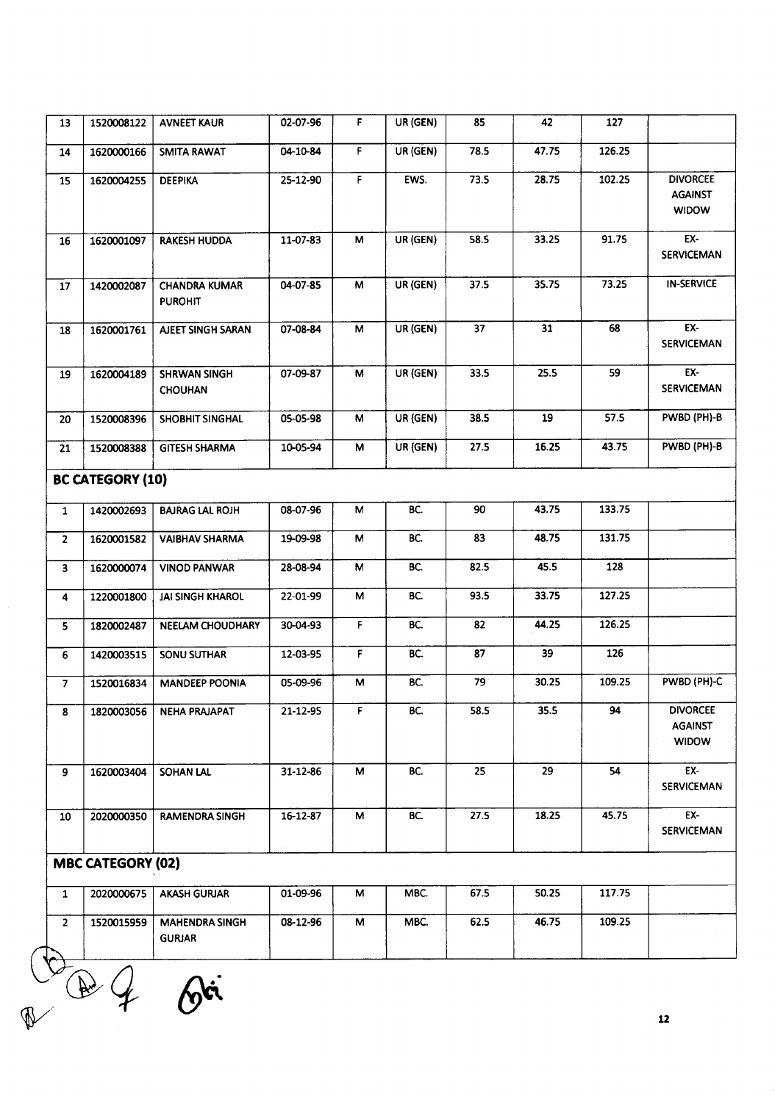| 13                      | 1520008122               | <b>AVNEET KAUR</b>                     | 02-07-96       | F.                      | UR (GEN) | 85   | 42    | 127             |                                                   |
|-------------------------|--------------------------|----------------------------------------|----------------|-------------------------|----------|------|-------|-----------------|---------------------------------------------------|
| 14                      | 1620000166               | <b>SMITA RAWAT</b>                     | 04-10-84       | F.                      | UR (GEN) | 78.5 | 47.75 | 126.25          |                                                   |
| 15                      | 1620004255               | <b>DEEPIKA</b>                         | 25-12-90       | F                       | EWS.     | 73.5 | 28.75 | 102.25          | <b>DIVORCEE</b><br><b>AGAINST</b><br><b>WIDOW</b> |
| 16                      | 1620001097               | <b>RAKESH HUDDA</b>                    | 11-07-83       | M                       | UR (GEN) | 58.5 | 33.25 | 91.75           | EX-<br><b>SERVICEMAN</b>                          |
| 17                      | 1420002087               | <b>CHANDRA KUMAR</b><br><b>PUROHIT</b> | 04-07-85       | $\overline{\mathsf{M}}$ | UR (GEN) | 37.5 | 35.75 | 73.25           | <b>IN-SERVICE</b>                                 |
| 18                      | 1620001761               | AJEET SINGH SARAN                      | 07-08-84       | М                       | UR (GEN) | 37   | 31    | 68              | EX-<br><b>SERVICEMAN</b>                          |
| 19                      | 1620004189               | <b>SHRWAN SINGH</b><br><b>CHOUHAN</b>  | 07-09-87       | M                       | UR (GEN) | 33.5 | 25.5  | 59              | EX-<br><b>SERVICEMAN</b>                          |
| 20                      | 1520008396               | SHOBHIT SINGHAL                        | 05-05-98       | M                       | UR (GEN) | 38.5 | 19    | 57.5            | PWBD (PH)-B                                       |
| 21                      | 1520008388               | <b>GITESH SHARMA</b>                   | 10-05-94       | M                       | UR (GEN) | 27.5 | 16.25 | 43.75           | PWBD (PH)-B                                       |
|                         | <b>BC CATEGORY (10)</b>  |                                        |                |                         |          |      |       |                 |                                                   |
| $\mathbf{1}$            | 1420002693               | <b>BAJRAG LAL ROJH</b>                 | 08-07-96       | М                       | BC.      | 90   | 43.75 | 133.75          |                                                   |
| $\overline{2}$          | 1620001582               | <b>VAIBHAV SHARMA</b>                  | 19-09-98       | M                       | BC.      | 83   | 48.75 | 131.75          |                                                   |
| $\overline{\mathbf{3}}$ | 1620000074               | <b>VINOD PANWAR</b>                    | 28-08-94       | M                       | BC.      | 82.5 | 45.5  | 128             |                                                   |
| 4                       | 1220001800               | <b>JAI SINGH KHAROL</b>                | 22-01-99       | М                       | BC.      | 93.5 | 33.75 | 127.25          |                                                   |
| 5                       | 1820002487               | NEELAM CHOUDHARY                       | 30-04-93       | F.                      | BC.      | 82   | 44.25 | 126.25          |                                                   |
| 6                       | 1420003515               | <b>SONU SUTHAR</b>                     | 12-03-95       | F                       | BC.      | 87   | 39    | 126             |                                                   |
| $\overline{7}$          | 1520016834               | <b>MANDEEP POONIA</b>                  | 05-09-96       | M                       | BC.      | 79   | 30.25 | 109.25          | PWBD (PH)-C                                       |
| $\overline{\mathbf{8}}$ |                          | 1820003056 NEHA PRAJAPAT               | $21 - 12 - 95$ | F.                      | BC       | 58.5 | 35.5  | $\overline{94}$ | <b>DIVORCEE</b><br><b>AGAINST</b><br><b>WIDOW</b> |
| 9                       | 1620003404               | <b>SOHAN LAL</b>                       | 31-12-86       | M                       | BC.      | 25   | 29    | 54              | EX-<br><b>SERVICEMAN</b>                          |
| 10                      | 2020000350               | <b>RAMENDRA SINGH</b>                  | 16-12-87       | M                       | BC.      | 27.5 | 18.25 | 45.75           | EX-<br><b>SERVICEMAN</b>                          |
|                         | <b>MBC CATEGORY (02)</b> |                                        |                |                         |          |      |       |                 |                                                   |
| $\mathbf{1}$            | 2020000675               | <b>AKASH GURJAR</b>                    | 01-09-96       | М                       | MBC.     | 67.5 | 50.25 | 117.75          |                                                   |
| $\overline{2}$          | 1520015959               | <b>MAHENDRA SINGH</b><br><b>GURJAR</b> | 08-12-96       | М                       | MBC.     | 62.5 | 46.75 | 109.25          |                                                   |
|                         |                          |                                        |                |                         |          |      |       |                 |                                                   |